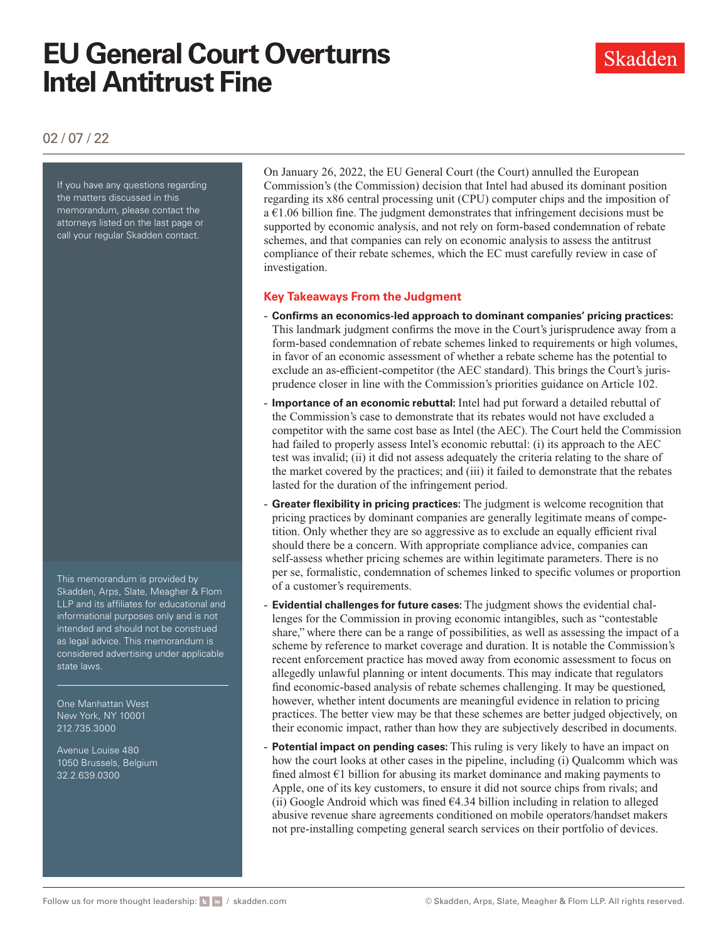# **EU General Court Overturns Intel Antitrust Fine**

02 / 07 / 22

If you have any questions regarding the matters discussed in this memorandum, please contact the attorneys listed on the last page or call your regular Skadden contact.

This memorandum is provided by Skadden, Arps, Slate, Meagher & Flom LLP and its affiliates for educational and informational purposes only and is not intended and should not be construed as legal advice. This memorandum is considered advertising under applicable state laws.

One Manhattan West New York, NY 10001 212.735.3000

Avenue Louise 480 1050 Brussels, Belgium 32.2.639.0300

On January 26, 2022, the EU General Court (the Court) annulled the European Commission's (the Commission) decision that Intel had abused its dominant position regarding its x86 central processing unit (CPU) computer chips and the imposition of  $a \in 1.06$  billion fine. The judgment demonstrates that infringement decisions must be supported by economic analysis, and not rely on form-based condemnation of rebate schemes, and that companies can rely on economic analysis to assess the antitrust compliance of their rebate schemes, which the EC must carefully review in case of investigation.

# **Key Takeaways From the Judgment**

- **Confirms an economics-led approach to dominant companies' pricing practices:**  This landmark judgment confirms the move in the Court's jurisprudence away from a form-based condemnation of rebate schemes linked to requirements or high volumes, in favor of an economic assessment of whether a rebate scheme has the potential to exclude an as-efficient-competitor (the AEC standard). This brings the Court's jurisprudence closer in line with the Commission's priorities guidance on Article 102.
- **Importance of an economic rebuttal:** Intel had put forward a detailed rebuttal of the Commission's case to demonstrate that its rebates would not have excluded a competitor with the same cost base as Intel (the AEC). The Court held the Commission had failed to properly assess Intel's economic rebuttal: (i) its approach to the AEC test was invalid; (ii) it did not assess adequately the criteria relating to the share of the market covered by the practices; and (iii) it failed to demonstrate that the rebates lasted for the duration of the infringement period.
- Greater flexibility in pricing practices: The judgment is welcome recognition that pricing practices by dominant companies are generally legitimate means of competition. Only whether they are so aggressive as to exclude an equally efficient rival should there be a concern. With appropriate compliance advice, companies can self-assess whether pricing schemes are within legitimate parameters. There is no per se, formalistic, condemnation of schemes linked to specific volumes or proportion of a customer's requirements.
- **Evidential challenges for future cases:** The judgment shows the evidential challenges for the Commission in proving economic intangibles, such as "contestable share," where there can be a range of possibilities, as well as assessing the impact of a scheme by reference to market coverage and duration. It is notable the Commission's recent enforcement practice has moved away from economic assessment to focus on allegedly unlawful planning or intent documents. This may indicate that regulators find economic-based analysis of rebate schemes challenging. It may be questioned, however, whether intent documents are meaningful evidence in relation to pricing practices. The better view may be that these schemes are better judged objectively, on their economic impact, rather than how they are subjectively described in documents.
- **Potential impact on pending cases:** This ruling is very likely to have an impact on how the court looks at other cases in the pipeline, including (i) Qualcomm which was fined almost  $\epsilon$ 1 billion for abusing its market dominance and making payments to Apple, one of its key customers, to ensure it did not source chips from rivals; and (ii) Google Android which was fined  $64.34$  billion including in relation to alleged abusive revenue share agreements conditioned on mobile operators/handset makers not pre-installing competing general search services on their portfolio of devices.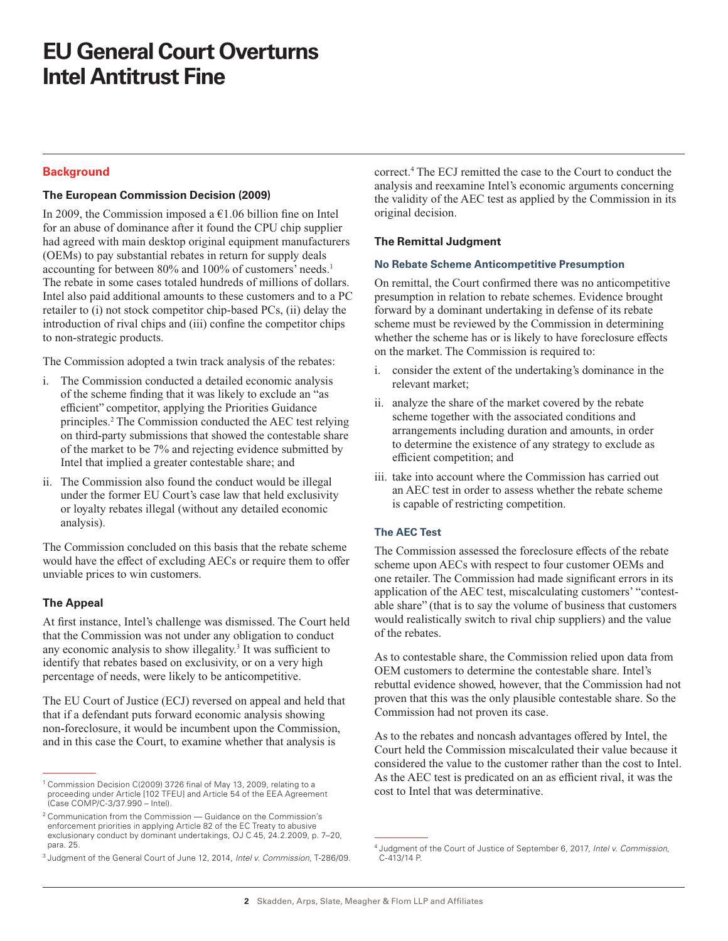# **EU General Court Overturns Intel Antitrust Fine**

# **Background**

### **The European Commission Decision (2009)**

In 2009, the Commission imposed a  $€1.06$  billion fine on Intel for an abuse of dominance after it found the CPU chip supplier had agreed with main desktop original equipment manufacturers (OEMs) to pay substantial rebates in return for supply deals accounting for between 80% and 100% of customers' needs.<sup>1</sup> The rebate in some cases totaled hundreds of millions of dollars. Intel also paid additional amounts to these customers and to a PC retailer to (i) not stock competitor chip-based PCs, (ii) delay the introduction of rival chips and (iii) confine the competitor chips to non-strategic products.

The Commission adopted a twin track analysis of the rebates:

- i. The Commission conducted a detailed economic analysis of the scheme finding that it was likely to exclude an "as efficient" competitor, applying the Priorities Guidance principles.2 The Commission conducted the AEC test relying on third-party submissions that showed the contestable share of the market to be 7% and rejecting evidence submitted by Intel that implied a greater contestable share; and
- ii. The Commission also found the conduct would be illegal under the former EU Court's case law that held exclusivity or loyalty rebates illegal (without any detailed economic analysis).

The Commission concluded on this basis that the rebate scheme would have the effect of excluding AECs or require them to offer unviable prices to win customers.

#### **The Appeal**

At first instance, Intel's challenge was dismissed. The Court held that the Commission was not under any obligation to conduct any economic analysis to show illegality.<sup>3</sup> It was sufficient to identify that rebates based on exclusivity, or on a very high percentage of needs, were likely to be anticompetitive.

The EU Court of Justice (ECJ) reversed on appeal and held that that if a defendant puts forward economic analysis showing non-foreclosure, it would be incumbent upon the Commission, and in this case the Court, to examine whether that analysis is

correct.4 The ECJ remitted the case to the Court to conduct the analysis and reexamine Intel's economic arguments concerning the validity of the AEC test as applied by the Commission in its original decision.

#### **The Remittal Judgment**

#### **No Rebate Scheme Anticompetitive Presumption**

On remittal, the Court confirmed there was no anticompetitive presumption in relation to rebate schemes. Evidence brought forward by a dominant undertaking in defense of its rebate scheme must be reviewed by the Commission in determining whether the scheme has or is likely to have foreclosure effects on the market. The Commission is required to:

- i. consider the extent of the undertaking's dominance in the relevant market;
- ii. analyze the share of the market covered by the rebate scheme together with the associated conditions and arrangements including duration and amounts, in order to determine the existence of any strategy to exclude as efficient competition; and
- iii. take into account where the Commission has carried out an AEC test in order to assess whether the rebate scheme is capable of restricting competition.

## **The AEC Test**

The Commission assessed the foreclosure effects of the rebate scheme upon AECs with respect to four customer OEMs and one retailer. The Commission had made significant errors in its application of the AEC test, miscalculating customers' "contestable share" (that is to say the volume of business that customers would realistically switch to rival chip suppliers) and the value of the rebates.

As to contestable share, the Commission relied upon data from OEM customers to determine the contestable share. Intel's rebuttal evidence showed, however, that the Commission had not proven that this was the only plausible contestable share. So the Commission had not proven its case.

As to the rebates and noncash advantages offered by Intel, the Court held the Commission miscalculated their value because it considered the value to the customer rather than the cost to Intel. As the AEC test is predicated on an as efficient rival, it was the cost to Intel that was determinative.

<sup>&</sup>lt;sup>1</sup> Commission Decision C(2009) 3726 final of May 13, 2009, relating to a proceeding under Article [102 TFEU] and Article 54 of the EEA Agreement (Case COMP/C-3/37.990 – Intel).

<sup>2</sup> Communication from the Commission — Guidance on the Commission's enforcement priorities in applying Article 82 of the EC Treaty to abusive exclusionary conduct by dominant undertakings, OJ C 45, 24.2.2009, p. 7–20, para. 25.

<sup>3</sup> Judgment of the General Court of June 12, 2014, *Intel v. Commission*, T-286/09.

<sup>4</sup> Judgment of the Court of Justice of September 6, 2017, *Intel v. Commission*, C-413/14 P.